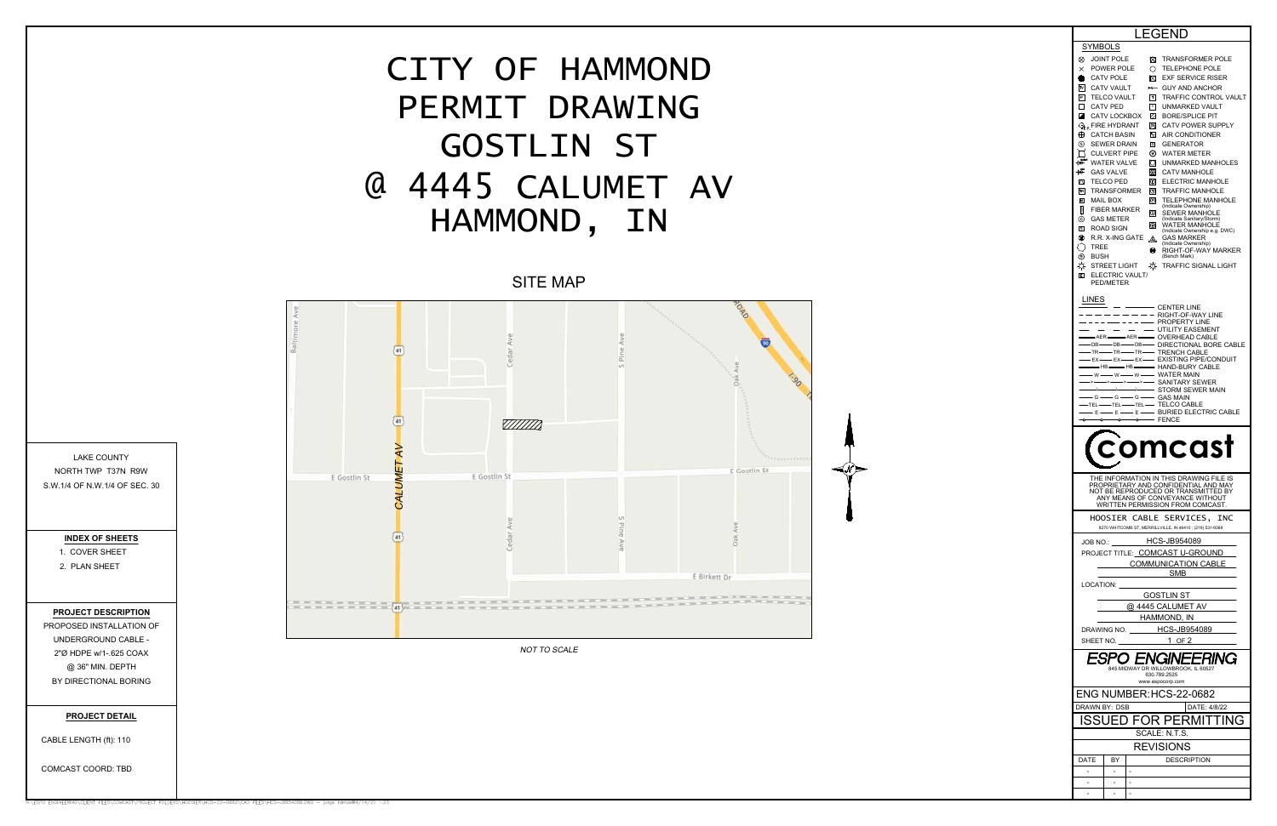| LEGEND                                                                                                                                  |  |  |  |  |  |
|-----------------------------------------------------------------------------------------------------------------------------------------|--|--|--|--|--|
| SYMBOLS                                                                                                                                 |  |  |  |  |  |
| ⊗<br>⊠<br><b>TRANSFORMER POLE</b><br>JOINT POLE<br>$\times$<br>POWER POLE<br>Ο<br><b>TELEPHONE POLE</b>                                 |  |  |  |  |  |
| <b>CATV POLE</b><br>⊠<br><b>EXF SERVICE RISER</b><br>×<br>$\overline{N}$<br><b>CATV VAULT</b><br><b>GUY AND ANCHOR</b><br>$\rightarrow$ |  |  |  |  |  |
| $\boxed{\mathsf{P}}$<br>$\lceil \tau \rceil$<br>TRAFFIC CONTROL VAULT<br><b>TELCO VAULT</b>                                             |  |  |  |  |  |
| □<br><b>CATV PED</b><br>$\sqrt{v}$<br><b>UNMARKED VAULT</b><br>◪<br>CATV LOCKBOX<br>Ø<br><b>BORE/SPLICE PIT</b>                         |  |  |  |  |  |
| 网<br><b>CATV POWER SUPPLY</b><br>$\mathbb{Q}_p$ Fire hydrant                                                                            |  |  |  |  |  |
| ⊕<br>Λc<br><b>CATCH BASIN</b><br><b>AIR CONDITIONER</b><br>(s)<br>o<br><b>SEWER DRAIN</b><br><b>GENERATOR</b>                           |  |  |  |  |  |
| ⊛<br><b>CULVERT PIPE</b><br><b>WATER METER</b>                                                                                          |  |  |  |  |  |
| B <sub>0</sub><br><b>WATER VALVE</b><br>О<br>UNMARKED MANHOLES<br>協<br><b>GAS VALVE</b><br> ⊛<br><b>CATV MANHOLE</b>                    |  |  |  |  |  |
| O<br>∞<br>ELECTRIC MANHOLE<br>TELCO PED                                                                                                 |  |  |  |  |  |
| TR<br><b>TRANSFORMER</b><br>⊙<br><b>TRAFFIC MANHOLE</b><br>囸<br>O<br>MAIL BOX<br><b>TELEPHONE MANHOLE</b>                               |  |  |  |  |  |
| (Indicate Ownership)<br>B<br><b>FIBER MARKER</b><br>ි<br>SEWER MANHOLE                                                                  |  |  |  |  |  |
| ⊚<br><b>GAS METER</b><br>(Indicate Sanitary/Storm)<br>⊚<br><b>WATER MANHOLE</b><br>同<br><b>ROAD SIGN</b>                                |  |  |  |  |  |
| (Indicate Ownership e.g. DWC)<br>⊗<br>R.R. X-ING GATE<br>GAS MARKER<br>෴<br>(Indicate Ownership)                                        |  |  |  |  |  |
| <b>TREE</b><br>◉<br>RIGHT-OF-WAY MARKER<br>⊕<br>(Bench Mark)<br>BUSH                                                                    |  |  |  |  |  |
| ☼<br>₩<br>STREET LIGHT<br><b>TRAFFIC SIGNAL LIGHT</b>                                                                                   |  |  |  |  |  |
| ▣<br>ELECTRIC VAULT/<br>PED/METER                                                                                                       |  |  |  |  |  |
| LINES                                                                                                                                   |  |  |  |  |  |
| - CENTER LINE<br>RIGHT-OF-WAY LINE                                                                                                      |  |  |  |  |  |
| PROPERTY LINE<br>$\sim$ $\sim$ $\sim$<br>UTILITY EASEMENT                                                                               |  |  |  |  |  |
| • OVERHEAD CABLE<br>AER-<br>-AER-<br>• DIRECTIONAL BORE CABLE<br>$-DB-$<br>-DB-<br>-DB-                                                 |  |  |  |  |  |
| — TR—— TR—— TR—— TRENCH CABLE<br>— EX —— EX —— EXISTING PIPE/CONDUIT                                                                    |  |  |  |  |  |
| <u>LA HB COMPAND-BURY CABLE</u><br>- W — W — W — WATER MAIN<br>-> — > — > — > — > — SANITARY SEWER<br>→ → → → STORM SEWER MAIN          |  |  |  |  |  |
| ->--                                                                                                                                    |  |  |  |  |  |
|                                                                                                                                         |  |  |  |  |  |
| ÷                                                                                                                                       |  |  |  |  |  |
| comcast                                                                                                                                 |  |  |  |  |  |
|                                                                                                                                         |  |  |  |  |  |
|                                                                                                                                         |  |  |  |  |  |
| THE INFORMATION IN THIS DRAWING FILE IS<br>PROPRIETARY AND CONFIDENTIAL AND MAY                                                         |  |  |  |  |  |
| NOT BE REPRODUCED OR TRANSMITTED BY<br>ANY MEANS OF CONVEYANCE WITHOUT                                                                  |  |  |  |  |  |
| WRITTEN PERMISSION FROM COMCAST.                                                                                                        |  |  |  |  |  |
| HOOSIER CABLE SERVICES, INC<br>8270 WHITCOMB ST, MERRILLVILLE, IN 46410; (219) 531-9369                                                 |  |  |  |  |  |
| JOB NO.: HCS-JB954089                                                                                                                   |  |  |  |  |  |
| PROJECT TITLE: COMCAST U-GROUND                                                                                                         |  |  |  |  |  |
| COMMUNICATION CABLE<br>___SMB___                                                                                                        |  |  |  |  |  |
| LOCATION: ______                                                                                                                        |  |  |  |  |  |
| GOSTLIN ST<br>@ 4445 CALUMET AV                                                                                                         |  |  |  |  |  |
| HAMMOND, IN                                                                                                                             |  |  |  |  |  |
| DRAWING NO. HCS-JB954089                                                                                                                |  |  |  |  |  |
| SHEET NO. 1 OF 2                                                                                                                        |  |  |  |  |  |
| ESPO ENGII<br><i><b>IEERING</b></i><br>845 MIDWAY DR WILLOWBROOK, IL 60527<br>630.789.2525                                              |  |  |  |  |  |
| www.espocorp.com<br>ENG NUMBER: HCS-22-0682                                                                                             |  |  |  |  |  |
| DRAWN BY: DSB<br>DATE: 4/8/22                                                                                                           |  |  |  |  |  |
| ISSUED FOR PERMITTING                                                                                                                   |  |  |  |  |  |
| SCALE: N.T.S.                                                                                                                           |  |  |  |  |  |
| REVISIONS                                                                                                                               |  |  |  |  |  |
| DATE<br>BY<br><b>DESCRIPTION</b>                                                                                                        |  |  |  |  |  |
|                                                                                                                                         |  |  |  |  |  |

CABLE LENGTH (ft):



UNDERGROUND CABLE -<br>2"Ø HDPE w/1-.625 COAX<br>@ 36" MIN. DEPTH<br>BY DIRECTIONAL BORING<br>**PROJECT DETAIL**